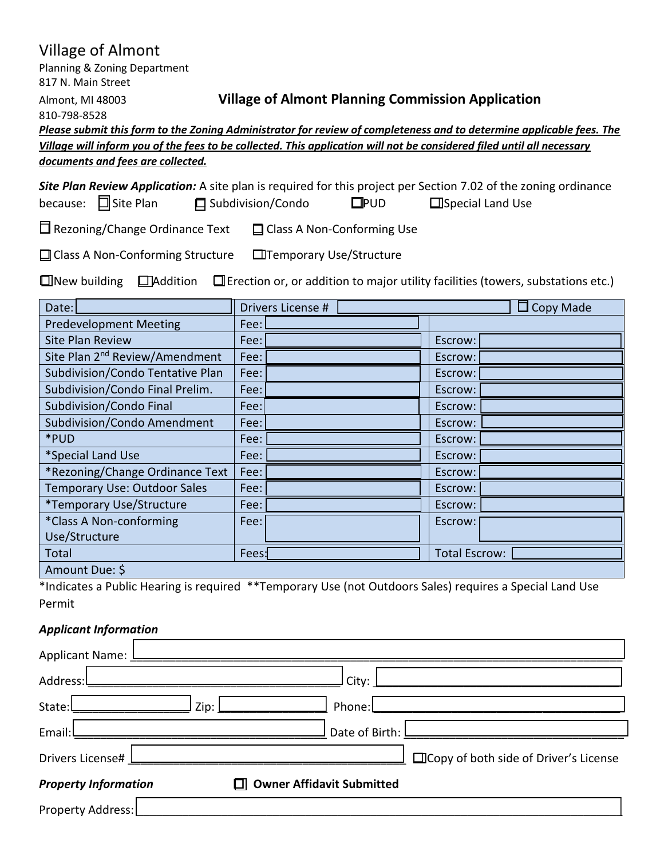# Village of Almont

Planning & Zoning Department 817 N. Main Street

810-798-8528

### Almont, MI 48003 **Village of Almont Planning Commission Application**

*Please submit this form to the Zoning Administrator for review of completeness and to determine applicable fees. The Village will inform you of the fees to be collected. This application will not be considered filed until all necessary documents and fees are collected.*

|                           |                     |               | Site Plan Review Application: A site plan is required for this project per Section 7.02 of the zoning ordinance |
|---------------------------|---------------------|---------------|-----------------------------------------------------------------------------------------------------------------|
| because: $\Box$ Site Plan | □ Subdivision/Condo | $\square$ PUD | $\Box$ Special Land Use                                                                                         |

 $\Box$  Rezoning/Change Ordinance Text  $\Box$  Class A Non-Conforming Use

 $\Box$  Class A Non-Conforming Structure  $\Box$  Temporary Use/Structure

 $\square$  New building  $\square$  Addition  $\square$  Erection or, or addition to major utility facilities (towers, substations etc.)

| Date:                                      | Drivers License # | $\Box$ Copy Made     |  |  |  |
|--------------------------------------------|-------------------|----------------------|--|--|--|
| <b>Predevelopment Meeting</b>              | Fee:              |                      |  |  |  |
| <b>Site Plan Review</b>                    | Fee:              | Escrow:              |  |  |  |
| Site Plan 2 <sup>nd</sup> Review/Amendment | Fee:              | Escrow:              |  |  |  |
| Subdivision/Condo Tentative Plan           | Fee:              | Escrow:              |  |  |  |
| Subdivision/Condo Final Prelim.            | Fee:              | Escrow:              |  |  |  |
| Subdivision/Condo Final                    | Fee:              | Escrow:              |  |  |  |
| Subdivision/Condo Amendment                | Fee:              | Escrow:              |  |  |  |
| *PUD                                       | Fee:              | Escrow:              |  |  |  |
| *Special Land Use                          | Fee:              | Escrow:              |  |  |  |
| *Rezoning/Change Ordinance Text            | Fee:              | Escrow:              |  |  |  |
| <b>Temporary Use: Outdoor Sales</b>        | Fee:              | Escrow:              |  |  |  |
| *Temporary Use/Structure                   | Fee:              | Escrow:              |  |  |  |
| *Class A Non-conforming                    | Fee:              | Escrow:              |  |  |  |
| Use/Structure                              |                   |                      |  |  |  |
| Total                                      | Fees:             | <b>Total Escrow:</b> |  |  |  |
| Amount Due: \$                             |                   |                      |  |  |  |

\*Indicates a Public Hearing is required \*\*Temporary Use (not Outdoors Sales) requires a Special Land Use Permit

## *Applicant Information*

| Applicant Name: L                                                         |                                        |  |  |  |  |  |
|---------------------------------------------------------------------------|----------------------------------------|--|--|--|--|--|
| Address:                                                                  | City:                                  |  |  |  |  |  |
| State:                                                                    | Phone:<br>Zip:                         |  |  |  |  |  |
| Email:L                                                                   |                                        |  |  |  |  |  |
| Drivers License# l                                                        | □Copy of both side of Driver's License |  |  |  |  |  |
| <b>Property Information</b><br><b>Owner Affidavit Submitted</b><br>$\Box$ |                                        |  |  |  |  |  |
| Property Address:                                                         |                                        |  |  |  |  |  |